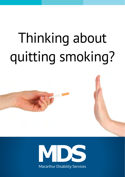# Thinking about quitting smoking?

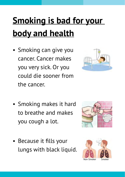# **Smoking is bad for your body and health**

• Smoking can give you cancer. Cancer makes you very sick. Or you could die sooner from the cancer.



- Smoking makes it hard to breathe and makes you cough a lot.
- Because it fills your lungs with black liquid.



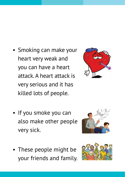- • Smoking can make your heart very weak and you can have a heart attack. A heart attack is very serious and it has killed lots of people.
- If you smoke you can also make other people very sick.
- These people might be your friends and family.





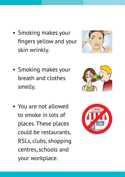- Smoking makes your fingers yellow and your skin wrinkly.
- Smoking makes your breath and clothes smelly.
- • You are not allowed to smoke in lots of places. These places could be restaurants, RSLs, clubs, shopping centres, schools and your workplace.





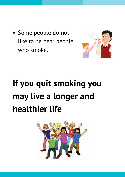• Some people do not like to be near people who smoke.



# **If you quit smoking you may live a longer and healthier life**

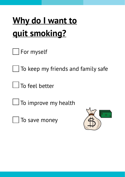## **Why do I want to quit smoking?**

|  | For myself |
|--|------------|
|--|------------|

 $\Box$  To keep my friends and family safe

 $\Box$  To feel better

 $\Box$  To improve my health

To save money

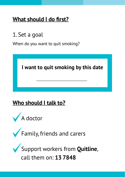#### **What should I do first?**

1. Set a goal

When do you want to quit smoking?

**I want to quit smoking by this date**

#### **Who should I talk to?**



Family, friends and carers

Support workers from **Quitline**, call them on: **13 7848**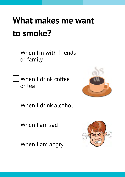#### **What makes me want to smoke?**

- When I'm with friends or family
- When I drink coffee or tea



- When I drink alcohol
- When I am sad
- U When I am angry

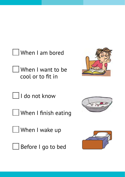When I am bored

When I want to be cool or to fit in



I do not know

 $\bigsqcup$  When I finish eating

When I wake up



 $\Box$  Before I go to bed



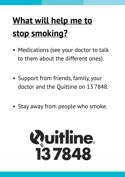#### **What will help me to stop smoking?**

- Medications (see your doctor to talk to them about the different ones).
- Support from friends, family, your doctor and the Quitline on 13 7848.
- Stay away from people who smoke.

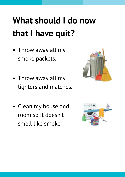# **What should I do now that I have quit?**

- Throw away all my smoke packets.
- Throw away all my lighters and matches.
- • Clean my house and room so it doesn't smell like smoke.



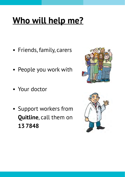#### **Who will help me?**

- • Friends, family, carers
- • People you work with
- Your doctor
- • Support workers from **Quitline**, call them on **13 7848**



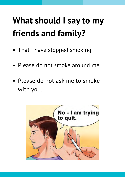#### **What should I say to my friends and family?**

- That I have stopped smoking.
- Please do not smoke around me.
- Please do not ask me to smoke with you.

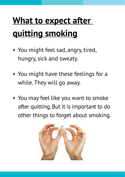## **What to expect after quitting smoking**

- You might feel sad, angry, tired, hungry, sick and sweaty.
- You might have these feelings for a while. They will go away.
- You may feel like you want to smoke after quitting. But it is important to do other things to forget about smoking.

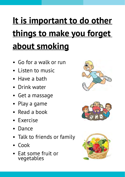# **It is important to do other things to make you forget about smoking**

- Go for a walk or run
- Listen to music
- • Have a bath
- Drink water
- Get a massage
- Play a game
- • Read a book
- • Exercise
- • Dance
- Talk to friends or family
- • Cook
- Eat some fruit or vegetables





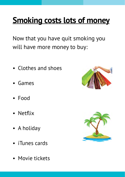#### **Smoking costs lots of money**

Now that you have quit smoking you will have more money to buy:

- Clothes and shoes
- • Games
- • Food
- Netflix
- A holiday
- • iTunes cards
- Movie tickets



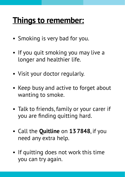#### **Things to remember:**

- Smoking is very bad for you.
- If you quit smoking you may live a longer and healthier life.
- Visit your doctor regularly.
- Keep busy and active to forget about wanting to smoke.
- Talk to friends, family or your carer if you are finding quitting hard.
- • Call the **Quitline** on **13 7848**, if you need any extra help.
- If quitting does not work this time you can try again.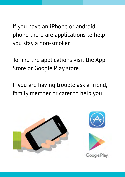If you have an iPhone or android phone there are applications to help you stay a non-smoker.

To find the applications visit the App Store or Google Play store.

If you are having trouble ask a friend, family member or carer to help you.

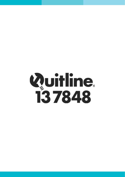